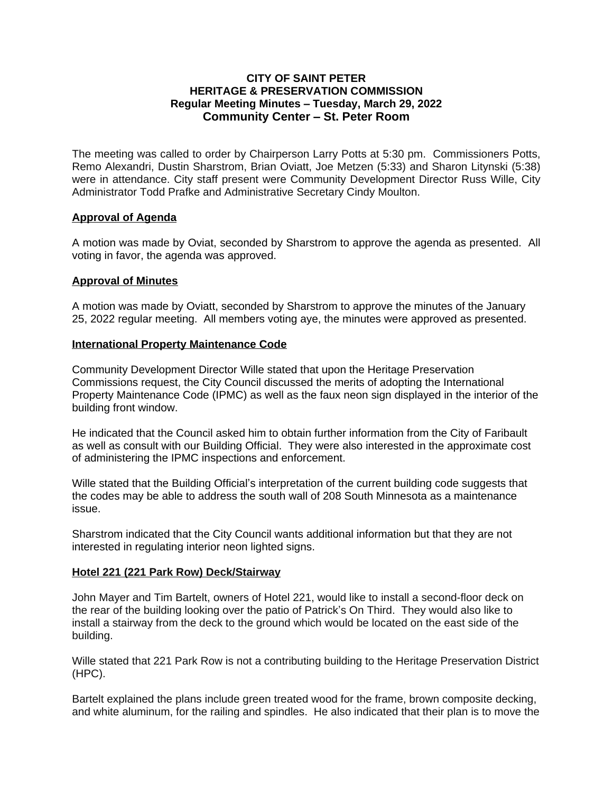## **CITY OF SAINT PETER HERITAGE & PRESERVATION COMMISSION Regular Meeting Minutes – Tuesday, March 29, 2022 Community Center – St. Peter Room**

The meeting was called to order by Chairperson Larry Potts at 5:30 pm. Commissioners Potts, Remo Alexandri, Dustin Sharstrom, Brian Oviatt, Joe Metzen (5:33) and Sharon Litynski (5:38) were in attendance. City staff present were Community Development Director Russ Wille, City Administrator Todd Prafke and Administrative Secretary Cindy Moulton.

# **Approval of Agenda**

A motion was made by Oviat, seconded by Sharstrom to approve the agenda as presented. All voting in favor, the agenda was approved.

## **Approval of Minutes**

A motion was made by Oviatt, seconded by Sharstrom to approve the minutes of the January 25, 2022 regular meeting. All members voting aye, the minutes were approved as presented.

## **International Property Maintenance Code**

Community Development Director Wille stated that upon the Heritage Preservation Commissions request, the City Council discussed the merits of adopting the International Property Maintenance Code (IPMC) as well as the faux neon sign displayed in the interior of the building front window.

He indicated that the Council asked him to obtain further information from the City of Faribault as well as consult with our Building Official. They were also interested in the approximate cost of administering the IPMC inspections and enforcement.

Wille stated that the Building Official's interpretation of the current building code suggests that the codes may be able to address the south wall of 208 South Minnesota as a maintenance issue.

Sharstrom indicated that the City Council wants additional information but that they are not interested in regulating interior neon lighted signs.

#### **Hotel 221 (221 Park Row) Deck/Stairway**

John Mayer and Tim Bartelt, owners of Hotel 221, would like to install a second-floor deck on the rear of the building looking over the patio of Patrick's On Third. They would also like to install a stairway from the deck to the ground which would be located on the east side of the building.

Wille stated that 221 Park Row is not a contributing building to the Heritage Preservation District (HPC).

Bartelt explained the plans include green treated wood for the frame, brown composite decking, and white aluminum, for the railing and spindles. He also indicated that their plan is to move the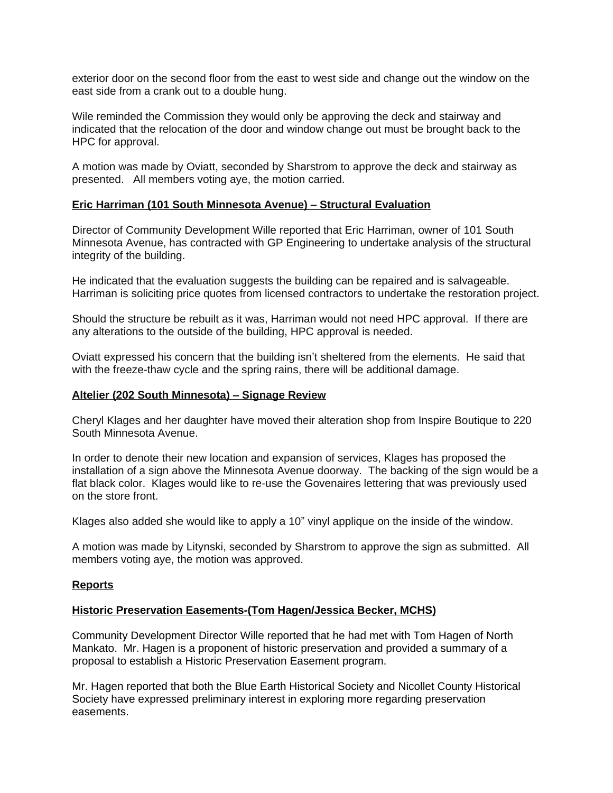exterior door on the second floor from the east to west side and change out the window on the east side from a crank out to a double hung.

Wile reminded the Commission they would only be approving the deck and stairway and indicated that the relocation of the door and window change out must be brought back to the HPC for approval.

A motion was made by Oviatt, seconded by Sharstrom to approve the deck and stairway as presented. All members voting aye, the motion carried.

## **Eric Harriman (101 South Minnesota Avenue) – Structural Evaluation**

Director of Community Development Wille reported that Eric Harriman, owner of 101 South Minnesota Avenue, has contracted with GP Engineering to undertake analysis of the structural integrity of the building.

He indicated that the evaluation suggests the building can be repaired and is salvageable. Harriman is soliciting price quotes from licensed contractors to undertake the restoration project.

Should the structure be rebuilt as it was, Harriman would not need HPC approval. If there are any alterations to the outside of the building, HPC approval is needed.

Oviatt expressed his concern that the building isn't sheltered from the elements. He said that with the freeze-thaw cycle and the spring rains, there will be additional damage.

#### **Altelier (202 South Minnesota) – Signage Review**

Cheryl Klages and her daughter have moved their alteration shop from Inspire Boutique to 220 South Minnesota Avenue.

In order to denote their new location and expansion of services, Klages has proposed the installation of a sign above the Minnesota Avenue doorway. The backing of the sign would be a flat black color. Klages would like to re-use the Govenaires lettering that was previously used on the store front.

Klages also added she would like to apply a 10" vinyl applique on the inside of the window.

A motion was made by Litynski, seconded by Sharstrom to approve the sign as submitted. All members voting aye, the motion was approved.

#### **Reports**

#### **Historic Preservation Easements-(Tom Hagen/Jessica Becker, MCHS)**

Community Development Director Wille reported that he had met with Tom Hagen of North Mankato. Mr. Hagen is a proponent of historic preservation and provided a summary of a proposal to establish a Historic Preservation Easement program.

Mr. Hagen reported that both the Blue Earth Historical Society and Nicollet County Historical Society have expressed preliminary interest in exploring more regarding preservation easements.